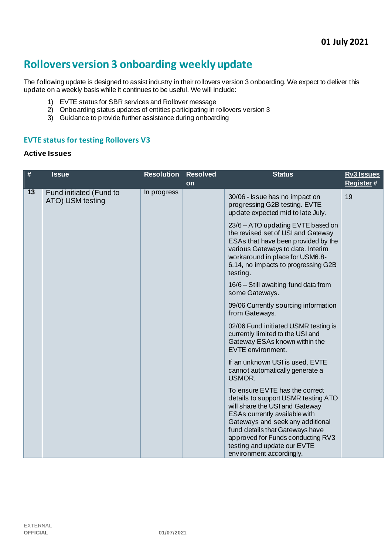# **Rollovers version 3 onboarding weekly update**

The following update is designed to assist industry in their rollovers version 3 onboarding. We expect to deliver this update on a weekly basis while it continues to be useful. We will include:

- 1) EVTE status for SBR services and Rollover message
- 2) Onboarding status updates of entities participating in rollovers version 3
- 3) Guidance to provide further assistance during onboarding

#### **EVTE status for testing Rollovers V3**

#### **Active Issues**

| $\#$ | <b>Issue</b>                                | <b>Resolution</b> | <b>Resolved</b> | <b>Status</b>                                                                                                                                                                                                                                                                                                   | <b>Rv3 Issues</b> |
|------|---------------------------------------------|-------------------|-----------------|-----------------------------------------------------------------------------------------------------------------------------------------------------------------------------------------------------------------------------------------------------------------------------------------------------------------|-------------------|
|      |                                             |                   | <b>on</b>       |                                                                                                                                                                                                                                                                                                                 | Register#         |
| 13   | Fund initiated (Fund to<br>ATO) USM testing | In progress       |                 | 30/06 - Issue has no impact on<br>progressing G2B testing. EVTE<br>update expected mid to late July.                                                                                                                                                                                                            | 19                |
|      |                                             |                   |                 | 23/6 - ATO updating EVTE based on<br>the revised set of USI and Gateway<br>ESAs that have been provided by the<br>various Gateways to date. Interim<br>workaround in place for USM6.8-<br>6.14, no impacts to progressing G2B<br>testing.                                                                       |                   |
|      |                                             |                   |                 | 16/6 - Still awaiting fund data from<br>some Gateways.                                                                                                                                                                                                                                                          |                   |
|      |                                             |                   |                 | 09/06 Currently sourcing information<br>from Gateways.                                                                                                                                                                                                                                                          |                   |
|      |                                             |                   |                 | 02/06 Fund initiated USMR testing is<br>currently limited to the USI and<br>Gateway ESAs known within the<br>EVTE environment.                                                                                                                                                                                  |                   |
|      |                                             |                   |                 | If an unknown USI is used, EVTE<br>cannot automatically generate a<br>USMOR.                                                                                                                                                                                                                                    |                   |
|      |                                             |                   |                 | To ensure EVTE has the correct<br>details to support USMR testing ATO<br>will share the USI and Gateway<br>ESAs currently available with<br>Gateways and seek any additional<br>fund details that Gateways have<br>approved for Funds conducting RV3<br>testing and update our EVTE<br>environment accordingly. |                   |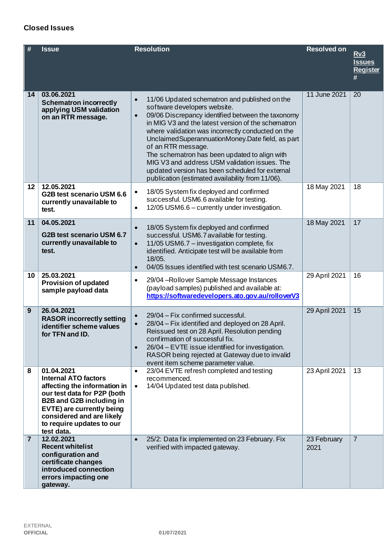#### EXTERNAL **OFFICIAL 01/07/2021**

|  | 01/07/2021 |  |
|--|------------|--|

|  | <b>Closed Issues</b> |  |
|--|----------------------|--|
|--|----------------------|--|

| #               | <b>Issue</b>                                                                                                                                                                                                                                     | <b>Resolution</b>                                                                                                                                                                                                                                                                                                                                                                                                                                                                                                                                             | <b>Resolved on</b>  | Rv3<br><b>Issues</b><br><b>Register</b><br># |
|-----------------|--------------------------------------------------------------------------------------------------------------------------------------------------------------------------------------------------------------------------------------------------|---------------------------------------------------------------------------------------------------------------------------------------------------------------------------------------------------------------------------------------------------------------------------------------------------------------------------------------------------------------------------------------------------------------------------------------------------------------------------------------------------------------------------------------------------------------|---------------------|----------------------------------------------|
| 14              | 03.06.2021<br><b>Schematron incorrectly</b><br>applying USM validation<br>on an RTR message.                                                                                                                                                     | 11/06 Updated schematron and published on the<br>$\bullet$<br>software developers website.<br>09/06 Discrepancy identified between the taxonomy<br>$\bullet$<br>in MIG V3 and the latest version of the schematron<br>where validation was incorrectly conducted on the<br>Unclaimed Superannuation Money. Date field, as part<br>of an RTR message.<br>The schematron has been updated to align with<br>MIG V3 and address USM validation issues. The<br>updated version has been scheduled for external<br>publication (estimated availability from 11/06). | 11 June 2021        | 20                                           |
| 12              | 12.05.2021<br>G2B test scenario USM 6.6<br>currently unavailable to<br>test.                                                                                                                                                                     | 18/05 System fix deployed and confirmed<br>$\bullet$<br>successful. USM6.6 available for testing.<br>12/05 USM6.6 - currently under investigation.<br>$\bullet$                                                                                                                                                                                                                                                                                                                                                                                               | 18 May 2021         | 18                                           |
| 11              | 04.05.2021<br>G2B test scenario USM 6.7<br>currently unavailable to<br>test.                                                                                                                                                                     | 18/05 System fix deployed and confirmed<br>$\bullet$<br>successful. USM6.7 available for testing.<br>11/05 USM6.7 - investigation complete, fix<br>$\bullet$<br>identified. Anticipate test will be available from<br>18/05.<br>04/05 Issues identified with test scenario USM6.7.<br>$\bullet$                                                                                                                                                                                                                                                               | 18 May 2021         | 17                                           |
| 10 <sub>1</sub> | 25.03.2021<br><b>Provision of updated</b><br>sample payload data                                                                                                                                                                                 | 29/04 - Rollover Sample Message Instances<br>$\bullet$<br>(payload samples) published and available at:<br>https://softwaredevelopers.ato.gov.au/rolloverV3                                                                                                                                                                                                                                                                                                                                                                                                   | 29 April 2021       | 16                                           |
| 9               | 26.04.2021<br><b>RASOR incorrectly setting</b><br>identifier scheme values<br>for TFN and ID.                                                                                                                                                    | 29/04 - Fix confirmed successful.<br>$\bullet$<br>28/04 – Fix identified and deployed on 28 April.<br>Reissued test on 28 April. Resolution pending<br>confirmation of successful fix.<br>26/04 - EVTE issue identified for investigation.<br>$\bullet$<br>RASOR being rejected at Gateway due to invalid<br>event item scheme parameter value.                                                                                                                                                                                                               | 29 April 2021       | 15                                           |
| 8               | 01.04.2021<br><b>Internal ATO factors</b><br>affecting the information in<br>our test data for P2P (both<br><b>B2B and G2B including in</b><br>EVTE) are currently being<br>considered and are likely<br>to require updates to our<br>test data. | 23/04 EVTE refresh completed and testing<br>$\bullet$<br>recommenced.<br>14/04 Updated test data published.<br>$\bullet$                                                                                                                                                                                                                                                                                                                                                                                                                                      | 23 April 2021       | 13                                           |
| $\overline{7}$  | 12.02.2021<br><b>Recent whitelist</b><br>configuration and<br>certificate changes<br>introduced connection<br>errors impacting one<br>gateway.                                                                                                   | 25/2: Data fix implemented on 23 February. Fix<br>$\bullet$<br>verified with impacted gateway.                                                                                                                                                                                                                                                                                                                                                                                                                                                                | 23 February<br>2021 | $\overline{7}$                               |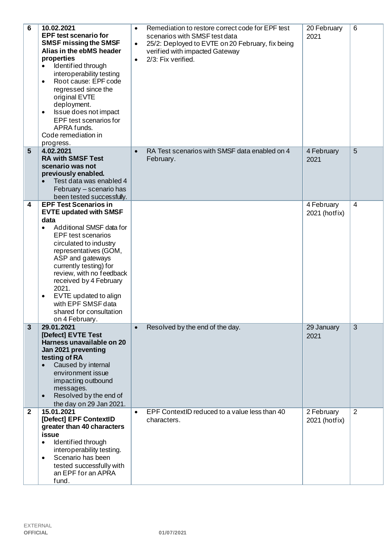| $6\phantom{1}6$ | 10.02.2021<br><b>EPF test scenario for</b><br><b>SMSF missing the SMSF</b><br>Alias in the ebMS header<br>properties<br>Identified through<br>interoperability testing<br>Root cause: EPF code<br>$\bullet$<br>regressed since the<br>original EVTE<br>deployment.<br>Issue does not impact<br>$\bullet$<br>EPF test scenarios for<br>APRA funds.<br>Code remediation in<br>progress.                                | Remediation to restore correct code for EPF test<br>$\bullet$<br>scenarios with SMSF test data<br>25/2: Deployed to EVTE on 20 February, fix being<br>$\bullet$<br>verified with impacted Gateway<br>2/3: Fix verified.<br>$\bullet$ | 20 February<br>2021         | 6              |
|-----------------|----------------------------------------------------------------------------------------------------------------------------------------------------------------------------------------------------------------------------------------------------------------------------------------------------------------------------------------------------------------------------------------------------------------------|--------------------------------------------------------------------------------------------------------------------------------------------------------------------------------------------------------------------------------------|-----------------------------|----------------|
| 5               | 4.02.2021<br><b>RA with SMSF Test</b><br>scenario was not<br>previously enabled.<br>Test data was enabled 4<br>February - scenario has<br>been tested successfully.                                                                                                                                                                                                                                                  | RA Test scenarios with SMSF data enabled on 4<br>$\bullet$<br>February.                                                                                                                                                              | 4 February<br>2021          | 5              |
| 4               | <b>EPF Test Scenarios in</b><br><b>EVTE updated with SMSF</b><br>data<br>Additional SMSF data for<br>$\bullet$<br><b>EPF</b> test scenarios<br>circulated to industry<br>representatives (GOM,<br>ASP and gateways<br>currently testing) for<br>review, with no feedback<br>received by 4 February<br>2021.<br>EVTE updated to align<br>$\bullet$<br>with EPF SMSF data<br>shared for consultation<br>on 4 February. |                                                                                                                                                                                                                                      | 4 February<br>2021 (hotfix) | $\overline{4}$ |
| $\mathbf{3}$    | 29.01.2021<br>[Defect] EVTE Test<br>Harness unavailable on 20<br>Jan 2021 preventing<br>testing of RA<br>Caused by internal<br>$\bullet$<br>environment issue<br>impacting outbound<br>messages.<br>Resolved by the end of<br>$\bullet$<br>the day on 29 Jan 2021.                                                                                                                                                   | Resolved by the end of the day.<br>$\bullet$                                                                                                                                                                                         | 29 January<br>2021          | $\overline{3}$ |
| $\mathbf{2}$    | 15.01.2021<br>[Defect] EPF ContextID<br>greater than 40 characters<br>issue<br>Identified through<br>$\bullet$<br>interoperability testing.<br>Scenario has been<br>$\bullet$<br>tested successfully with<br>an EPF for an APRA<br>fund.                                                                                                                                                                             | EPF ContextID reduced to a value less than 40<br>$\bullet$<br>characters.                                                                                                                                                            | 2 February<br>2021 (hotfix) | 2              |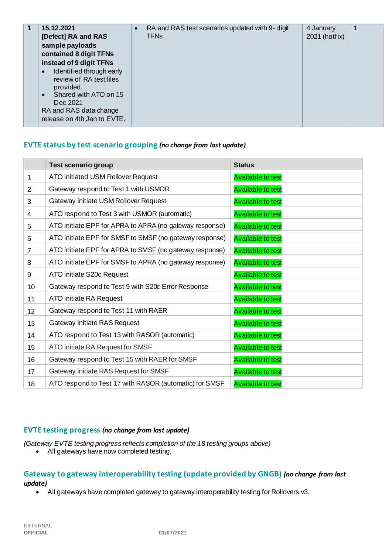| 15.12.2021<br>[Defect] RA and RAS<br>sample payloads<br>contained 8 digit TFNs<br>instead of 9 digit TFNs<br>Identified through early<br>$\bullet$<br>review of RA test files<br>provided.<br>Shared with ATO on 15<br>$\bullet$<br>Dec 2021<br>RA and RAS data change | $\bullet$ | RA and RAS test scenarios updated with 9- digit<br>TFNs. | 4 January<br>2021 (hotfix) | 1 |
|------------------------------------------------------------------------------------------------------------------------------------------------------------------------------------------------------------------------------------------------------------------------|-----------|----------------------------------------------------------|----------------------------|---|
| release on 4th Jan to EVTE.                                                                                                                                                                                                                                            |           |                                                          |                            |   |

#### **EVTE status by test scenario grouping** *(no change from last update)*

|                 | <b>Test scenario group</b>                              | <b>Status</b>            |
|-----------------|---------------------------------------------------------|--------------------------|
| 1               | ATO initiated USM Rollover Request                      | <b>Available to test</b> |
| $\overline{2}$  | Gateway respond to Test 1 with USMOR                    | <b>Available to test</b> |
| 3               | Gateway initiate USM Rollover Request                   | <b>Available to test</b> |
| $\overline{4}$  | ATO respond to Test 3 with USMOR (automatic)            | <b>Available to test</b> |
| 5               | ATO initiate EPF for APRA to APRA (no gateway response) | <b>Available to test</b> |
| 6               | ATO initiate EPF for SMSF to SMSF (no gateway response) | <b>Available to test</b> |
| $\overline{7}$  | ATO initiate EPF for APRA to SMSF (no gateway response) | <b>Available to test</b> |
| 8               | ATO initiate EPF for SMSF to APRA (no gateway response) | <b>Available to test</b> |
| 9               | ATO initiate S20c Request                               | <b>Available to test</b> |
| 10              | Gateway respond to Test 9 with S20c Error Response      | <b>Available to test</b> |
| 11              | ATO initiate RA Request                                 | <b>Available to test</b> |
| 12 <sup>2</sup> | Gateway respond to Test 11 with RAER                    | <b>Available to test</b> |
| 13              | Gateway initiate RAS Request                            | <b>Available to test</b> |
| 14              | ATO respond to Test 13 with RASOR (automatic)           | <b>Available to test</b> |
| 15              | ATO initiate RA Request for SMSF                        | <b>Available to test</b> |
| 16              | Gateway respond to Test 15 with RAER for SMSF           | <b>Available to test</b> |
| 17              | Gateway initiate RAS Request for SMSF                   | <b>Available to test</b> |
| 18              | ATO respond to Test 17 with RASOR (automatic) for SMSF  | <b>Available to test</b> |

#### **EVTE testing progress** *(no change from last update)*

*(Gateway EVTE testing progress reflects completion of the 18 testing groups above)*

• All gateways have now completed testing.

# **Gateway to gateway interoperability testing (update provided by GNGB)** *(no change from last update)*

• All gateways have completed gateway to gateway interoperability testing for Rollovers v3.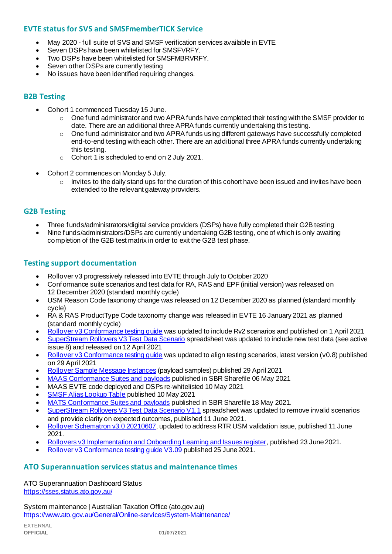# **EVTE status for SVS and SMSFmemberTICK Service**

- May 2020 full suite of SVS and SMSF verification services available in EVTE
- Seven DSPs have been whitelisted for SMSFVRFY.
- Two DSPs have been whitelisted for SMSFMBRVRFY.
- Seven other DSPs are currently testing
- No issues have been identified requiring changes.

# **B2B Testing**

- Cohort 1 commenced Tuesday 15 June.
	- $\circ$  One fund administrator and two APRA funds have completed their testing with the SMSF provider to date. There are an additional three APRA funds currently undertaking this testing.
	- $\circ$  One fund administrator and two APRA funds using different gateways have successfully completed end-to-end testing with each other. There are an additional three APRA funds currently undertaking this testing.
	- o Cohort 1 is scheduled to end on 2 July 2021.
- Cohort 2 commences on Monday 5 July.
	- $\circ$  Invites to the daily stand ups for the duration of this cohort have been issued and invites have been extended to the relevant gateway providers.

# **G2B Testing**

- Three funds/administrators/digital service providers (DSPs) have fully completed their G2B testing
- Nine funds/administrators/DSPs are currently undertaking G2B testing, one of which is only awaiting completion of the G2B test matrix in order to exit the G2B test phase.

#### **Testing support documentation**

- Rollover v3 progressively released into EVTE through July to October 2020
- Conformance suite scenarios and test data for RA, RAS and EPF (initial version) was released on 12 December 2020 (standard monthly cycle)
- USM Reason Code taxonomy change was released on 12 December 2020 as planned (standard monthly cycle)
- RA & RAS ProductType Code taxonomy change was released in EVTE 16 January 2021 as planned (standard monthly cycle)
- [Rollover v3 Conformance testing guide](https://softwaredevelopers.ato.gov.au/rolloverV3) was updated to include Rv2 scenarios and published on 1 April 2021
- [SuperStream Rollovers V3 Test Data Scenario](https://softwaredevelopers.ato.gov.au/sites/default/files/2021-04/SuperStream_RolloversV3_Test_Data_Scenario_V1.0.xlsx) spreadsheet was updated to include new test data (see active issue 8) and released on 12 April 2021
- Rollover v3 Conformance testing quide was updated to align testing scenarios, latest version (v0.8) published on 29 April 2021
- [Rollover Sample Message Instances](https://softwaredevelopers.ato.gov.au/rolloverV3) (payload samples) published 29 April 2021
- [MAAS Conformance Suites and payloads](https://standardbusinessreporting.sharefile.com/home/shared/fod63f12-7bbb-4c61-96e7-33dc9eae4d9a) published in SBR Sharefile 06 May 2021
- MAAS EVTE code deployed and DSPs re-whitelisted 10 May 2021
- [SMSF Alias Lookup Table](https://softwaredevelopers.ato.gov.au/supervalidationservices) published 10 May 2021
- [MATS Conformance Suites and payloads](http://standardbusinessreporting.sharefile.com/) published in SBR Sharefile 18 May 2021.
- [SuperStream Rollovers V3 Test Data Scenario V1.1](https://softwaredevelopers.ato.gov.au/sites/default/files/2021-06/SuperStream_RolloversV3_Test_Data_Scenario_V1.1-1.xlsx) spreadsheet was updated to remove invalid scenarios and provide clarity on expected outcomes, published 11 June 2021.
- [Rollover Schematron v3.0 20210607](https://softwaredevelopers.ato.gov.au/sites/default/files/2021-06/Rollover_SPRROL.0003_Schematron_20210607-1.zip), updated to address RTR USM validation issue, published 11 June 2021.
- [Rollovers v3 Implementation and Onboarding Learning and Issues register](https://www.ato.gov.au/uploadedFiles/Content/SPR/downloads/SuperStream_Rollovers_v3_Implementation_and_Onboarding_Learning_Issues_register%20.pdf), published 23 June 2021.
- [Rollover v3 Conformance testing](https://softwaredevelopers.ato.gov.au/sites/default/files/2021-06/Rollover_V3_Conformance_Testing_Guide_version_3.09_Final.pdf) guide V3.09 published 25 June 2021.

#### **ATO Superannuation servicesstatus and maintenance times**

[ATO Superannuation Dashboard Status](https://sses.status.ato.gov.au/) <https://sses.status.ato.gov.au/>

[System maintenance | Australian Taxation Office \(ato.gov.au\)](https://www.ato.gov.au/General/Online-services/System-Maintenance/) <https://www.ato.gov.au/General/Online-services/System-Maintenance/>